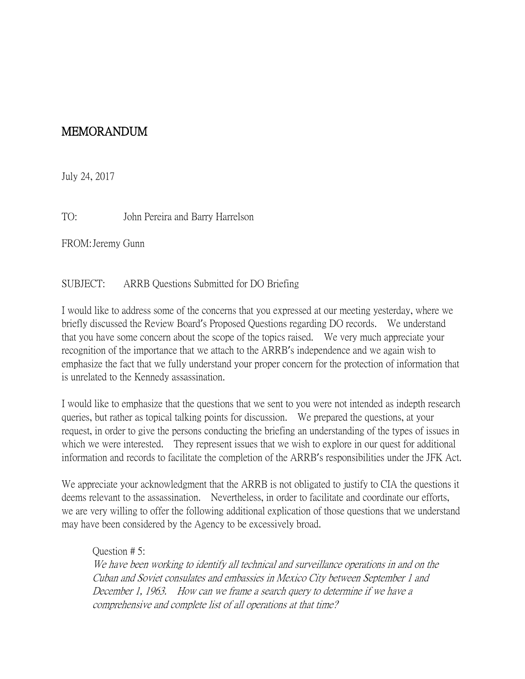## MEMORANDUM

July 24, 2017

TO: John Pereira and Barry Harrelson

FROM:Jeremy Gunn

SUBJECT: ARRB Questions Submitted for DO Briefing

I would like to address some of the concerns that you expressed at our meeting yesterday, where we briefly discussed the Review Board's Proposed Questions regarding DO records. We understand that you have some concern about the scope of the topics raised. We very much appreciate your recognition of the importance that we attach to the ARRB's independence and we again wish to emphasize the fact that we fully understand your proper concern for the protection of information that is unrelated to the Kennedy assassination.

I would like to emphasize that the questions that we sent to you were not intended as indepth research queries, but rather as topical talking points for discussion. We prepared the questions, at your request, in order to give the persons conducting the briefing an understanding of the types of issues in which we were interested. They represent issues that we wish to explore in our quest for additional information and records to facilitate the completion of the ARRB's responsibilities under the JFK Act.

We appreciate your acknowledgment that the ARRB is not obligated to justify to CIA the questions it deems relevant to the assassination. Nevertheless, in order to facilitate and coordinate our efforts, we are very willing to offer the following additional explication of those questions that we understand may have been considered by the Agency to be excessively broad.

Question # 5: We have been working to identify all technical and surveillance operations in and on the Cuban and Soviet consulates and embassies in Mexico City between September 1 and December 1, 1963. How can we frame a search query to determine if we have a comprehensive and complete list of all operations at that time?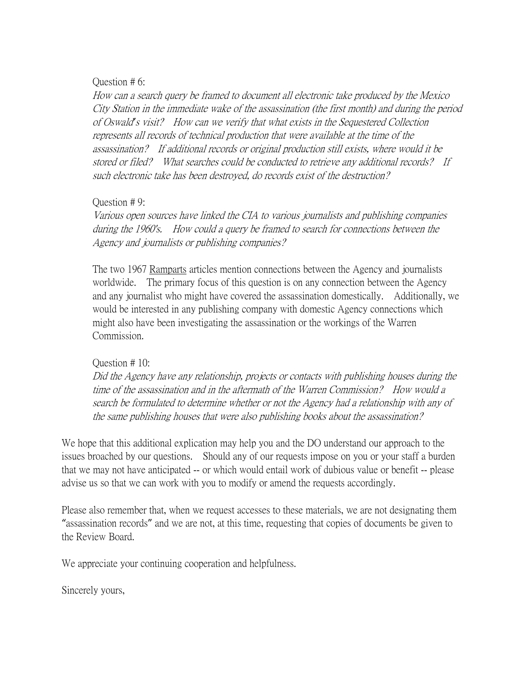## Question # 6:

How can a search query be framed to document all electronic take produced by the Mexico City Station in the immediate wake of the assassination (the first month) and during the period of Oswald*'*s visit? How can we verify that what exists in the Sequestered Collection represents all records of technical production that were available at the time of the assassination? If additional records or original production still exists, where would it be stored or filed? What searches could be conducted to retrieve any additional records? If such electronic take has been destroyed, do records exist of the destruction?

## Question # 9:

Various open sources have linked the CIA to various journalists and publishing companies during the 1960's. How could a query be framed to search for connections between the Agency and journalists or publishing companies?

The two 1967 Ramparts articles mention connections between the Agency and journalists worldwide. The primary focus of this question is on any connection between the Agency and any journalist who might have covered the assassination domestically. Additionally, we would be interested in any publishing company with domestic Agency connections which might also have been investigating the assassination or the workings of the Warren Commission.

## Question # 10:

Did the Agency have any relationship, projects or contacts with publishing houses during the time of the assassination and in the aftermath of the Warren Commission? How would a search be formulated to determine whether or not the Agency had a relationship with any of the same publishing houses that were also publishing books about the assassination?

We hope that this additional explication may help you and the DO understand our approach to the issues broached by our questions. Should any of our requests impose on you or your staff a burden that we may not have anticipated -- or which would entail work of dubious value or benefit -- please advise us so that we can work with you to modify or amend the requests accordingly.

Please also remember that, when we request accesses to these materials, we are not designating them "assassination records" and we are not, at this time, requesting that copies of documents be given to the Review Board.

We appreciate your continuing cooperation and helpfulness.

Sincerely yours,